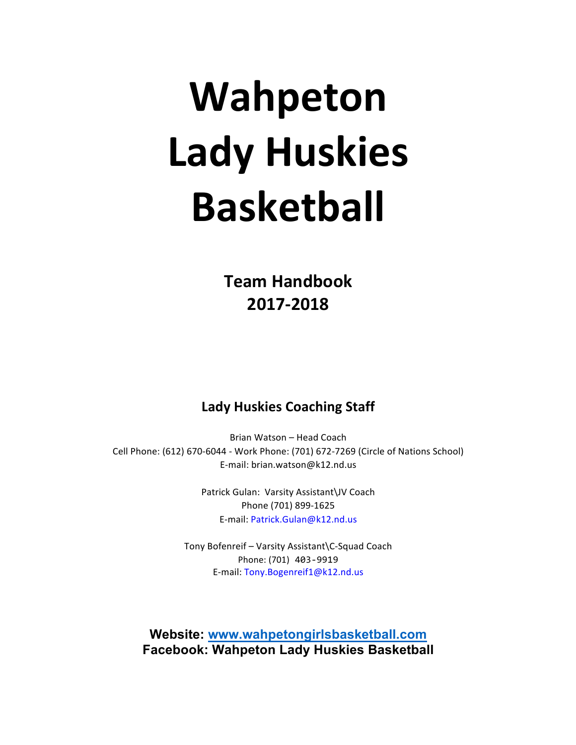# **Wahpeton Lady Huskies Basketball**

**Team Handbook 2017-2018**

# **Lady Huskies Coaching Staff**

Brian Watson - Head Coach Cell Phone: (612) 670-6044 - Work Phone: (701) 672-7269 (Circle of Nations School) E-mail: brian.watson@k12.nd.us

> Patrick Gulan: Varsity Assistant\JV Coach Phone (701) 899-1625 E-mail: Patrick.Gulan@k12.nd.us

Tony Bofenreif - Varsity Assistant\C-Squad Coach Phone: (701) 403-9919 E-mail: Tony.Bogenreif1@k12.nd.us

**Website: www.wahpetongirlsbasketball.com Facebook: Wahpeton Lady Huskies Basketball**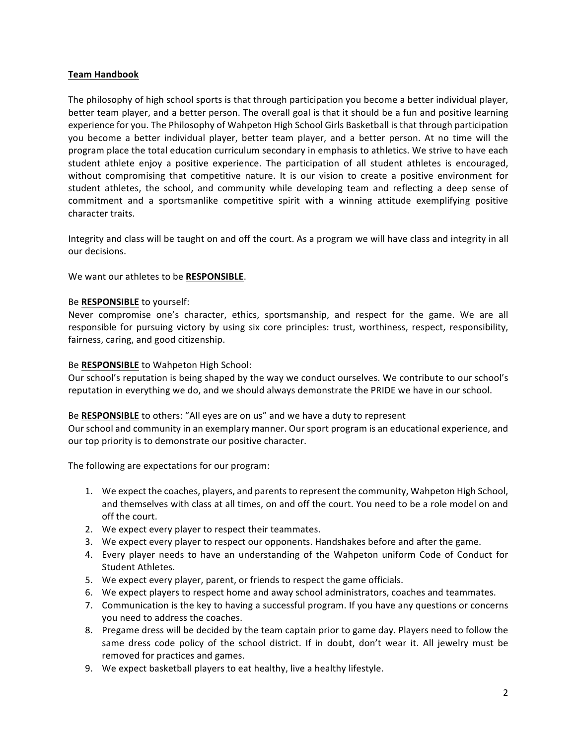# **Team Handbook**

The philosophy of high school sports is that through participation you become a better individual player, better team player, and a better person. The overall goal is that it should be a fun and positive learning experience for you. The Philosophy of Wahpeton High School Girls Basketball is that through participation you become a better individual player, better team player, and a better person. At no time will the program place the total education curriculum secondary in emphasis to athletics. We strive to have each student athlete enjoy a positive experience. The participation of all student athletes is encouraged, without compromising that competitive nature. It is our vision to create a positive environment for student athletes, the school, and community while developing team and reflecting a deep sense of commitment and a sportsmanlike competitive spirit with a winning attitude exemplifying positive character traits.

Integrity and class will be taught on and off the court. As a program we will have class and integrity in all our decisions. 

We want our athletes to be RESPONSIBLE.

# Be **RESPONSIBLE** to yourself:

Never compromise one's character, ethics, sportsmanship, and respect for the game. We are all responsible for pursuing victory by using six core principles: trust, worthiness, respect, responsibility, fairness, caring, and good citizenship.

### Be **RESPONSIBLE** to Wahpeton High School:

Our school's reputation is being shaped by the way we conduct ourselves. We contribute to our school's reputation in everything we do, and we should always demonstrate the PRIDE we have in our school.

### Be RESPONSIBLE to others: "All eyes are on us" and we have a duty to represent

Our school and community in an exemplary manner. Our sport program is an educational experience, and our top priority is to demonstrate our positive character.

The following are expectations for our program:

- 1. We expect the coaches, players, and parents to represent the community, Wahpeton High School, and themselves with class at all times, on and off the court. You need to be a role model on and off the court.
- 2. We expect every player to respect their teammates.
- 3. We expect every player to respect our opponents. Handshakes before and after the game.
- 4. Every player needs to have an understanding of the Wahpeton uniform Code of Conduct for Student Athletes.
- 5. We expect every player, parent, or friends to respect the game officials.
- 6. We expect players to respect home and away school administrators, coaches and teammates.
- 7. Communication is the key to having a successful program. If you have any questions or concerns you need to address the coaches.
- 8. Pregame dress will be decided by the team captain prior to game day. Players need to follow the same dress code policy of the school district. If in doubt, don't wear it. All jewelry must be removed for practices and games.
- 9. We expect basketball players to eat healthy, live a healthy lifestyle.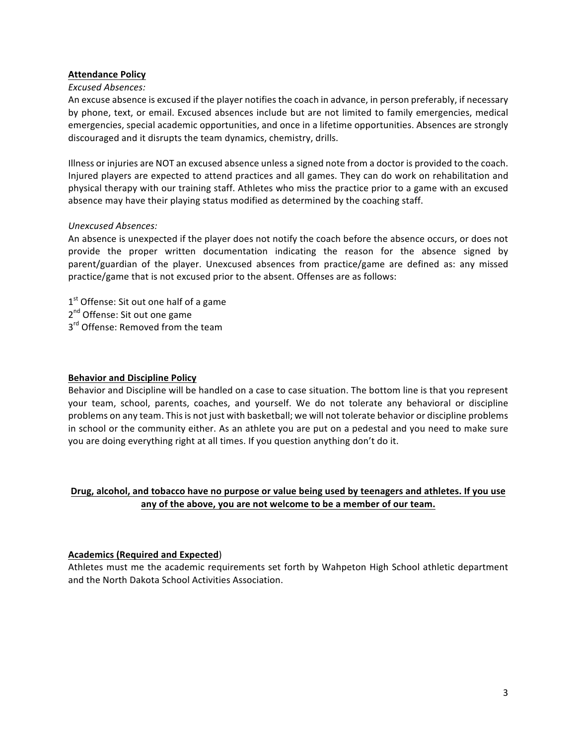### **Attendance Policy**

### *Excused Absences:*

An excuse absence is excused if the player notifies the coach in advance, in person preferably, if necessary by phone, text, or email. Excused absences include but are not limited to family emergencies, medical emergencies, special academic opportunities, and once in a lifetime opportunities. Absences are strongly discouraged and it disrupts the team dynamics, chemistry, drills.

Illness or injuries are NOT an excused absence unless a signed note from a doctor is provided to the coach. Injured players are expected to attend practices and all games. They can do work on rehabilitation and physical therapy with our training staff. Athletes who miss the practice prior to a game with an excused absence may have their playing status modified as determined by the coaching staff.

#### *Unexcused Absences:*

An absence is unexpected if the player does not notify the coach before the absence occurs, or does not provide the proper written documentation indicating the reason for the absence signed by parent/guardian of the player. Unexcused absences from practice/game are defined as: any missed practice/game that is not excused prior to the absent. Offenses are as follows:

- $1<sup>st</sup>$  Offense: Sit out one half of a game
- 2<sup>nd</sup> Offense: Sit out one game
- 3<sup>rd</sup> Offense: Removed from the team

### **Behavior and Discipline Policy**

Behavior and Discipline will be handled on a case to case situation. The bottom line is that you represent your team, school, parents, coaches, and yourself. We do not tolerate any behavioral or discipline problems on any team. This is not just with basketball; we will not tolerate behavior or discipline problems in school or the community either. As an athlete you are put on a pedestal and you need to make sure you are doing everything right at all times. If you question anything don't do it.

# Drug, alcohol, and tobacco have no purpose or value being used by teenagers and athletes. If you use any of the above, you are not welcome to be a member of our team.

### **Academics (Required and Expected)**

Athletes must me the academic requirements set forth by Wahpeton High School athletic department and the North Dakota School Activities Association.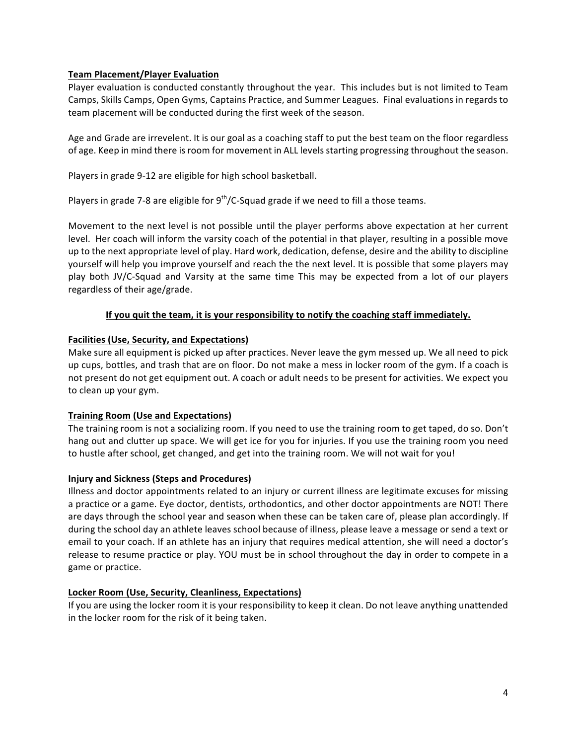# **Team Placement/Player Evaluation**

Player evaluation is conducted constantly throughout the year. This includes but is not limited to Team Camps, Skills Camps, Open Gyms, Captains Practice, and Summer Leagues. Final evaluations in regards to team placement will be conducted during the first week of the season.

Age and Grade are irrevelent. It is our goal as a coaching staff to put the best team on the floor regardless of age. Keep in mind there is room for movement in ALL levels starting progressing throughout the season.

Players in grade 9-12 are eligible for high school basketball.

Players in grade 7-8 are eligible for  $9^{th}/C$ -Squad grade if we need to fill a those teams.

Movement to the next level is not possible until the player performs above expectation at her current level. Her coach will inform the varsity coach of the potential in that player, resulting in a possible move up to the next appropriate level of play. Hard work, dedication, defense, desire and the ability to discipline yourself will help you improve yourself and reach the the next level. It is possible that some players may play both JV/C-Squad and Varsity at the same time This may be expected from a lot of our players regardless of their age/grade.

# If you quit the team, it is your responsibility to notify the coaching staff immediately.

# **Facilities (Use, Security, and Expectations)**

Make sure all equipment is picked up after practices. Never leave the gym messed up. We all need to pick up cups, bottles, and trash that are on floor. Do not make a mess in locker room of the gym. If a coach is not present do not get equipment out. A coach or adult needs to be present for activities. We expect you to clean up your gym.

### **Training Room (Use and Expectations)**

The training room is not a socializing room. If you need to use the training room to get taped, do so. Don't hang out and clutter up space. We will get ice for you for injuries. If you use the training room you need to hustle after school, get changed, and get into the training room. We will not wait for you!

### **Injury and Sickness (Steps and Procedures)**

Illness and doctor appointments related to an injury or current illness are legitimate excuses for missing a practice or a game. Eye doctor, dentists, orthodontics, and other doctor appointments are NOT! There are days through the school year and season when these can be taken care of, please plan accordingly. If during the school day an athlete leaves school because of illness, please leave a message or send a text or email to your coach. If an athlete has an injury that requires medical attention, she will need a doctor's release to resume practice or play. YOU must be in school throughout the day in order to compete in a game or practice.

### Locker Room (Use, Security, Cleanliness, Expectations)

If you are using the locker room it is your responsibility to keep it clean. Do not leave anything unattended in the locker room for the risk of it being taken.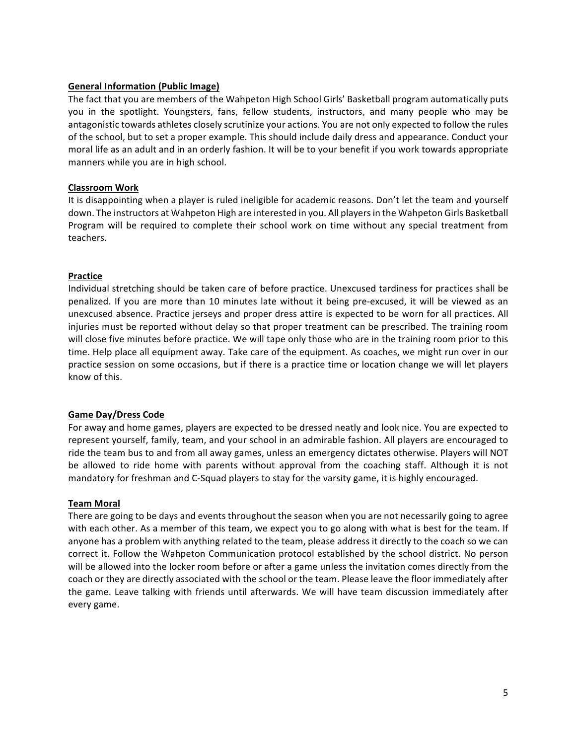### **General Information (Public Image)**

The fact that you are members of the Wahpeton High School Girls' Basketball program automatically puts you in the spotlight. Youngsters, fans, fellow students, instructors, and many people who may be antagonistic towards athletes closely scrutinize your actions. You are not only expected to follow the rules of the school, but to set a proper example. This should include daily dress and appearance. Conduct your moral life as an adult and in an orderly fashion. It will be to your benefit if you work towards appropriate manners while you are in high school.

#### **Classroom Work**

It is disappointing when a player is ruled ineligible for academic reasons. Don't let the team and yourself down. The instructors at Wahpeton High are interested in you. All players in the Wahpeton Girls Basketball Program will be required to complete their school work on time without any special treatment from teachers.

#### **Practice**

Individual stretching should be taken care of before practice. Unexcused tardiness for practices shall be penalized. If you are more than 10 minutes late without it being pre-excused, it will be viewed as an unexcused absence. Practice jerseys and proper dress attire is expected to be worn for all practices. All injuries must be reported without delay so that proper treatment can be prescribed. The training room will close five minutes before practice. We will tape only those who are in the training room prior to this time. Help place all equipment away. Take care of the equipment. As coaches, we might run over in our practice session on some occasions, but if there is a practice time or location change we will let players know of this.

### Game Day/Dress Code

For away and home games, players are expected to be dressed neatly and look nice. You are expected to represent yourself, family, team, and your school in an admirable fashion. All players are encouraged to ride the team bus to and from all away games, unless an emergency dictates otherwise. Players will NOT be allowed to ride home with parents without approval from the coaching staff. Although it is not mandatory for freshman and C-Squad players to stay for the varsity game, it is highly encouraged.

#### **Team Moral**

There are going to be days and events throughout the season when you are not necessarily going to agree with each other. As a member of this team, we expect you to go along with what is best for the team. If anyone has a problem with anything related to the team, please address it directly to the coach so we can correct it. Follow the Wahpeton Communication protocol established by the school district. No person will be allowed into the locker room before or after a game unless the invitation comes directly from the coach or they are directly associated with the school or the team. Please leave the floor immediately after the game. Leave talking with friends until afterwards. We will have team discussion immediately after every game.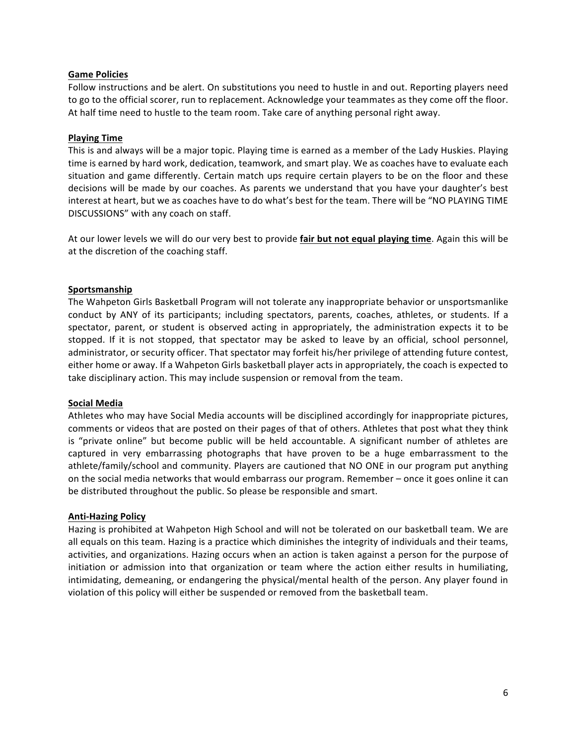#### **Game Policies**

Follow instructions and be alert. On substitutions you need to hustle in and out. Reporting players need to go to the official scorer, run to replacement. Acknowledge your teammates as they come off the floor. At half time need to hustle to the team room. Take care of anything personal right away.

### **Playing Time**

This is and always will be a major topic. Playing time is earned as a member of the Lady Huskies. Playing time is earned by hard work, dedication, teamwork, and smart play. We as coaches have to evaluate each situation and game differently. Certain match ups require certain players to be on the floor and these decisions will be made by our coaches. As parents we understand that you have your daughter's best interest at heart, but we as coaches have to do what's best for the team. There will be "NO PLAYING TIME DISCUSSIONS" with any coach on staff.

At our lower levels we will do our very best to provide **fair but not equal playing time**. Again this will be at the discretion of the coaching staff.

#### **Sportsmanship**

The Wahpeton Girls Basketball Program will not tolerate any inappropriate behavior or unsportsmanlike conduct by ANY of its participants; including spectators, parents, coaches, athletes, or students. If a spectator, parent, or student is observed acting in appropriately, the administration expects it to be stopped. If it is not stopped, that spectator may be asked to leave by an official, school personnel, administrator, or security officer. That spectator may forfeit his/her privilege of attending future contest, either home or away. If a Wahpeton Girls basketball player acts in appropriately, the coach is expected to take disciplinary action. This may include suspension or removal from the team.

#### **Social Media**

Athletes who may have Social Media accounts will be disciplined accordingly for inappropriate pictures, comments or videos that are posted on their pages of that of others. Athletes that post what they think is "private online" but become public will be held accountable. A significant number of athletes are captured in very embarrassing photographs that have proven to be a huge embarrassment to the athlete/family/school and community. Players are cautioned that NO ONE in our program put anything on the social media networks that would embarrass our program. Remember – once it goes online it can be distributed throughout the public. So please be responsible and smart.

#### **Anti-Hazing Policy**

Hazing is prohibited at Wahpeton High School and will not be tolerated on our basketball team. We are all equals on this team. Hazing is a practice which diminishes the integrity of individuals and their teams, activities, and organizations. Hazing occurs when an action is taken against a person for the purpose of initiation or admission into that organization or team where the action either results in humiliating, intimidating, demeaning, or endangering the physical/mental health of the person. Any player found in violation of this policy will either be suspended or removed from the basketball team.